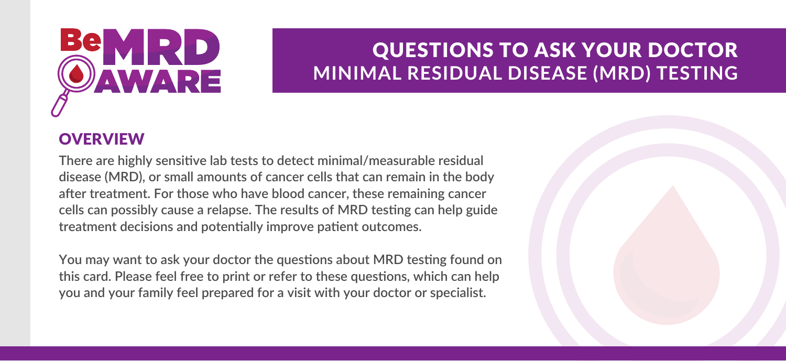## WARE

## QUESTIONS TO ASK YOUR DOCTOR **MINIMAL RESIDUAL DISEASE (MRD) TESTING**

## **OVERVIEW**

**There are highly sensitive lab tests to detect minimal/measurable residual disease (MRD), or small amounts of cancer cells that can remain in the body after treatment. For those who have blood cancer, these remaining cancer cells can possibly cause a relapse. The results of MRD testing can help guide treatment decisions and potentially improve patient outcomes.**

**You may want to ask your doctor the questions about MRD testing found on this card. Please feel free to print or refer to these questions, which can help you and your family feel prepared for a visit with your doctor or specialist.**